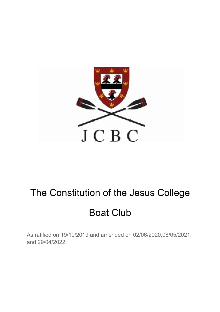

# The Constitution of the Jesus College

# Boat Club

As ratified on 19/10/2019 and amended on 02/06/2020,08/05/2021, and 29/04/2022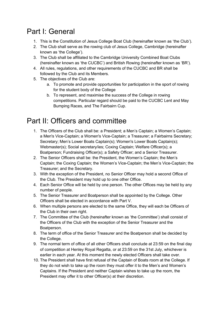## Part I: General

- 1. This is the Constitution of Jesus College Boat Club (hereinafter known as 'the Club').
- 2. The Club shall serve as the rowing club of Jesus College, Cambridge (hereinafter known as 'the College').
- 3. The Club shall be affiliated to the Cambridge University Combined Boat Clubs (hereinafter known as 'the CUCBC') and British Rowing (hereinafter known as 'BR').
- 4. All rules, regulations, and other requirements of the CUCBC and BR shall be followed by the Club and its Members.
- 5. The objectives of the Club are:
	- a. To promote and provide opportunities for participation in the sport of rowing for the student body of the College
	- b. To represent, and maximise the success of the College in rowing competitions. Particular regard should be paid to the CUCBC Lent and May Bumping Races, and The Fairbairn Cup.

## Part II: Officers and committee

- 1. The Officers of the Club shall be: a President; a Men's Captain; a Women's Captain; a Men's Vice-Captain; a Women's Vice-Captain; a Treasurer; a Fairbairns Secretary; Secretary; Men's Lower Boats Captain(s); Women's Lower Boats Captain(s); Webmaster(s); Social secretary/ies; Coxing Captain; Welfare Officer(s); a Boatperson; Fundraising Officer(s); a Safety Officer; and a Senior Treasurer.
- 2. The Senior Officers shall be: the President, the Women's Captain; the Men's Captain; the Coxing Captain; the Women's Vice-Captain; the Men's Vice-Captain; the Treasurer; and the Secretary.
- 3. With the exception of the President, no Senior Officer may hold a second Office of the Club. The President may hold up to one other Office.
- 4. Each Senior Office will be held by one person. The other Offices may be held by any number of people.
- 5. The Senior Treasurer and Boatperson shall be appointed by the College. Other Officers shall be elected in accordance with Part V.
- 6. When multiple persons are elected to the same Office, they will each be Officers of the Club in their own right.
- 7. The Committee of the Club (hereinafter known as 'the Committee') shall consist of the Officers of the Club with the exception of the Senior Treasurer and the Boatperson.
- 8. The term of office of the Senior Treasurer and the Boatperson shall be decided by the College.
- 9. The normal term of office of all other Officers shall conclude at 23:59 on the final day of competition at Henley Royal Regatta, or at 23:59 on the 31st July, whichever is earlier in each year. At this moment the newly elected Officers shall take over.
- 10. The President shall have first refusal of the Captain of Boats room at the College. If they do not wish to take up the room they must offer it to the Men's and Women's Captains. If the President and neither Captain wishes to take up the room, the President may offer it to other Officer(s) at their discretion.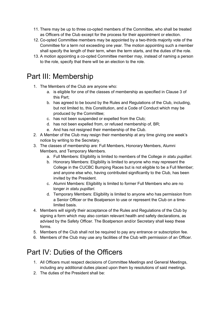- 11. There may be up to three co-opted members of the Committee, who shall be treated as Officers of the Club except for the process for their appointment or election.
- 12. Co-opted Committee members may be appointed by a two-thirds majority vote of the Committee for a term not exceeding one year. The motion appointing such a member shall specify the length of their term, when the term starts, and the duties of the role.
- 13. A motion appointing a co-opted Committee member may, instead of naming a person to the role, specify that there will be an election to the role.

#### Part III: Membership

- 1. The Members of the Club are anyone who:
	- a. is eligible for one of the classes of membership as specified in Clause 3 of this Part;
	- b. has agreed to be bound by the Rules and Regulations of the Club, including, but not limited to, this Constitution, and a Code of Conduct which may be produced by the Committee;
	- c. has not been suspended or expelled from the Club;
	- d. has not been expelled from, or refused membership of, BR;
	- e. And has not resigned their membership of the Club.
- 2. A Member of the Club may resign their membership at any time giving one week's notice by writing to the Secretary.
- 3. The classes of membership are: Full Members, Honorary Members, Alumni Members, and Temporary Members.
	- a. Full Members: Eligibility is limited to members of the College *in statu pupillari*.
	- b. Honorary Members: Eligibility is limited to anyone who may represent the College in the CUCBC Bumping Races but is not eligible to be a Full Member; and anyone else who, having contributed significantly to the Club, has been invited by the President.
	- c. Alumni Members: Eligibility is limited to former Full Members who are no longer *in statu pupillari*.
	- d. Temporary Members: Eligibility is limited to anyone who has permission from a Senior Officer or the Boatperson to use or represent the Club on a timelimited basis.
- 4. Members will signify their acceptance of the Rules and Regulations of the Club by signing a form which may also contain relevant health and safety declarations, as advised by the Safety Officer. The Boatperson and/or Secretary shall keep these forms.
- 5. Members of the Club shall not be required to pay any entrance or subscription fee.
- 6. Members of the Club may use any facilities of the Club with permission of an Officer.

# Part IV: Duties of the Officers

- 1. All Officers must respect decisions of Committee Meetings and General Meetings, including any additional duties placed upon them by resolutions of said meetings.
- 2. The duties of the President shall be: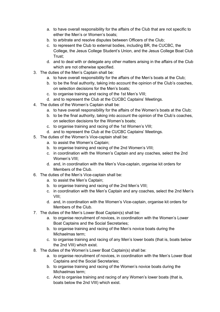- a. to have overall responsibility for the affairs of the Club that are not specific to either the Men's or Women's boats;
- b. to arbitrate and resolve disputes between Officers of the Club;
- c. to represent the Club to external bodies, including BR, the CUCBC, the College, the Jesus College Student's Union, and the Jesus College Boat Club Trust;
- d. and to deal with or delegate any other matters arising in the affairs of the Club which are not otherwise specified.
- 3. The duties of the Men's Captain shall be:
	- a. to have overall responsibility for the affairs of the Men's boats at the Club;
	- b. to be the final authority, taking into account the opinion of the Club's coaches, on selection decisions for the Men's boats;
	- c. to organise training and racing of the 1st Men's VIII;
	- d. and to represent the Club at the CUCBC Captains' Meetings.
- 4. The duties of the Women's Captain shall be:
	- a. to have overall responsibility for the affairs of the Women's boats at the Club;
	- b. to be the final authority, taking into account the opinion of the Club's coaches, on selection decisions for the Women's boats;
	- c. to organise training and racing of the 1st Women's VIII;
	- d. and to represent the Club at the CUCBC Captains' Meetings.
- 5. The duties of the Women's Vice-captain shall be:
	- a. to assist the Women's Captain;
	- b. to organise training and racing of the 2nd Women's VIII;
	- c. in coordination with the Women's Captain and any coaches, select the 2nd Women's VIII;
	- d. and, in coordination with the Men's Vice-captain, organise kit orders for Members of the Club.
- 6. The duties of the Men's Vice-captain shall be:
	- a. to assist the Men's Captain;
	- b. to organise training and racing of the 2nd Men's VIII;
	- c. in coordination with the Men's Captain and any coaches, select the 2nd Men's VIII;
	- d. and, in coordination with the Women's Vice-captain, organise kit orders for Members of the Club.
- 7. The duties of the Men's Lower Boat Captain(s) shall be:
	- a. to organise recruitment of novices, in coordination with the Women's Lower Boat Captains and the Social Secretaries;
	- b. to organise training and racing of the Men's novice boats during the Michaelmas term;
	- c. to organise training and racing of any Men's lower boats (that is, boats below the 2nd VIII) which exist.
- 8. The duties of the Women's Lower Boat Captain(s) shall be:
	- a. to organise recruitment of novices, in coordination with the Men's Lower Boat Captains and the Social Secretaries;
	- b. to organise training and racing of the Women's novice boats during the Michaelmas term;
	- c. And to organise training and racing of any Women's lower boats (that is, boats below the 2nd VIII) which exist.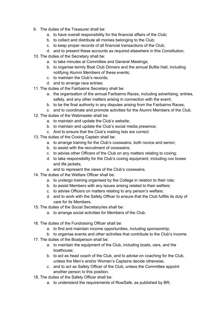- 9. The duties of the Treasurer shall be:
	- a. to have overall responsibility for the financial affairs of the Club;
	- b. to collect and distribute all monies belonging to the Club;
	- c. to keep proper records of all financial transactions of the Club;
	- d. and to present these accounts as required elsewhere in this Constitution;
- 10. The duties of the Secretary shall be:
	- a. to take minutes at Committee and General Meetings;
	- b. to organise termly Boat Club Dinners and the annual Buftie Hall, including notifying Alumni Members of these events;
	- c. to maintain the Club's records;
	- d. and to arrange race entries;
- 11. The duties of the Fairbairns Secretary shall be:
	- a. the organisation of the annual Fairbairns Races, including advertising, entries, safety, and any other matters arising in connection with the event;
	- b. to be the final authority in any disputes arising from the Fairbairns Races;
	- c. and to coordinate and promote activities for the Alumni Members of the Club.
- 12. The duties of the Webmaster shall be:
	- a. to maintain and update the Club's website;
	- b. to maintain and update the Club's social media presence;
	- c. And to ensure that the Club's mailing lists are correct.
- 13. The duties of the Coxing Captain shall be:
	- a. to arrange training for the Club's coxswains, both novice and senior;
	- b. to assist with the recruitment of coxswains;
	- c. to advise other Officers of the Club on any matters relating to coxing;
	- d. to take responsibility for the Club's coxing equipment, including cox boxes and life jackets;
	- e. and to represent the views of the Club's coxswains.
- 14. The duties of the Welfare Officer shall be:
	- a. to undergo training organised by the College in relation to their role;
	- b. to assist Members with any issues arising related to their welfare;
	- c. to advise Officers on matters relating to any person's welfare;
	- d. and to work with the Safety Officer to ensure that the Club fulfills its duty of care for its Members.
- 15. The duties of the Social Secretary/ies shall be:
	- a. to arrange social activities for Members of the Club.
- 16. The duties of the Fundraising Officer shall be:
	- a. to find and maintain income opportunities, including sponsorship;
	- b. to organise events and other activities that contribute to the Club's income.
- 17. The duties of the Boatperson shall be:
	- a. to maintain the equipment of the Club, including boats, oars, and the boathouse;
	- b. to act as head coach of the Club, and to advise on coaching for the Club, unless the Men's and/or Women's Captains decide otherwise;
	- c. and to act as Safety Officer of the Club, unless the Committee appoint another person to this position.
- 18. The duties of the Safety Officer shall be:
	- a. to understand the requirements of RowSafe, as published by BR;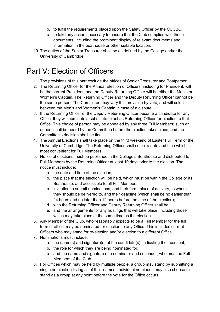- b. to fulfill the requirements placed upon the Safety Officer by the CUCBC;
- c. to take any action necessary to ensure that the Club complies with these documents, including the prominent display of relevant documents and information in the boathouse or other suitable location.
- 19. The duties of the Senior Treasurer shall be as defined by the College and/or the University of Cambridge.

# Part V: Election of Officers

- 1. The provisions of this part exclude the offices of Senior Treasurer and Boatperson.
- 2. The Returning Officer for the Annual Election of Officers, including for President, will be the current President, and the Deputy Returning Officer will be either the Men's or Women's Captain. The Returning Officer and the Deputy Returning Officer cannot be the same person. The Committee may vary this provision by vote, and will select between the Men's and Women's Captain in case of a dispute.
- 3. If the Returning Officer or the Deputy Returning Officer become a candidate for any Office, they will nominate a substitute to act as Returning Officer for election to that Office. This choice of person may be appealed by any three Full Members; such an appeal shall be heard by the Committee before the election takes place, and the Committee's decision shall be final.
- 4. The Annual Elections shall take place on the third weekend of Easter Full Term of the University of Cambridge. The Returning Officer shall select a date and time which is most convenient for Full Members.
- 5. Notice of elections must be published in the College's Boathouse and distributed to Full Members by the Returning Officer at least 10 days prior to the election. The notice must include:
	- a. the date and time of the election;
	- b. the place that the election will be held, which must be within the College or its Boathouse, and accessible to all Full Members;
	- c. invitation to submit nominations, and their form, place of delivery, to whom they should be delivered to, and their deadline (which shall be no earlier than 24 hours and no later than 12 hours before the time of the election);
	- d. who the Returning Officer and Deputy Returning Officer shall be;
	- e. and the arrangements for any hustings that will take place, including those which may take place at the same time as the election.
- 6. Any Member of the Club, who reasonably expects to be a Full Member for the full term of office, may be nominated for election to any Office. This includes current Officers who may stand for re-election and/or election to a different Office.
- 7. Nominations must include:
	- a. the name(s) and signature(s) of the candidate(s), indicating their consent;
	- b. the role for which they are being nominated for;
	- c. and the name and signature of a nominator and seconder, who must be Full Members of the Club.
- 8. For Offices which may be held by multiple people, a group may stand by submitting a single nomination listing all of their names. Individual nominees may also choose to stand as a group at any point before the vote for the Office occurs.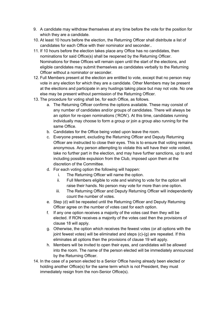- 9. A candidate may withdraw themselves at any time before the vote for the position for which they are a candidate.
- 10. At least 10 hours before the election, the Returning Officer shall distribute a list of candidates for each Office with their nominator and seconder..
- 11. If 10 hours before the election takes place any Office has no candidates, then nominations for said Office(s) shall be reopened by the Returning Officer. Nominations for these Offices will remain open until the start of the elections, and eligible candidates may submit themselves as candidates verbally to the Returning Officer without a nominator or seconder.
- 12. Full Members present at the election are entitled to vote, except that no person may vote in any election for which they are a candidate. Other Members may be present at the elections and participate in any hustings taking place but may not vote. No one else may be present without permission of the Returning Officer.
- 13. The procedure for voting shall be, for each Office, as follows.
	- a. The Returning Officer confirms the options available. These may consist of any number of candidates and/or groups of candidates. There will always be an option for re-open nominations ('RON'). At this time, candidates running individually may choose to form a group or join a group also running for the same Office.
	- b. Candidates for the Office being voted upon leave the room.
	- c. Everyone present, excluding the Returning Officer and Deputy Returning Officer are instructed to close their eyes. This is to ensure that voting remains anonymous. Any person attempting to violate this will have their vote voided, take no further part in the election, and may have further sanctions, up to and including possible expulsion from the Club, imposed upon them at the discretion of the Committee.
	- d. For each voting option the following will happen:
		- i. The Returning Officer will name the option.
		- ii. Full Members eligible to vote and wishing to vote for the option will raise their hands. No person may vote for more than one option.
		- iii. The Returning Officer and Deputy Returning Officer will independently count the number of votes.
	- e. Step (d) will be repeated until the Returning Officer and Deputy Returning Officer agree on the number of votes cast for each option.
	- f. If any one option receives a majority of the votes cast then they will be elected. If RON receives a majority of the votes cast then the provisions of clause 18 will apply.
	- g. Otherwise, the option which receives the fewest votes (or all options with the joint fewest votes) will be eliminated and steps (c)-(g) are repeated. If this eliminates all options then the provisions of clause 19 will apply.
	- h. Members will be invited to open their eyes, and candidates will be allowed into the room. The name of the person elected will be immediately announced by the Returning Officer.
- 14. In the case of a person elected to a Senior Office having already been elected or holding another Office(s) for the same term which is not President, they must immediately resign from the non-Senior Office(s).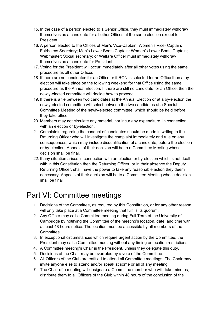- 15. In the case of a person elected to a Senior Office, they must immediately withdraw themselves as a candidate for all other Offices at the same election except for President.
- 16. A person elected to the Offices of Men's Vice-Captain; Women's Vice- Captain; Fairbairns Secretary; Men's Lower Boats Captain; Women's Lower Boats Captain; Webmaster; Social secretary; or Welfare Officer must immediately withdraw themselves as a candidate for President.
- 17. Voting for the President will occur immediately after all other votes using the same procedure as all other Offices
- 18. If there are no candidates for an Office or if RON is selected for an Office then a byelection will take place on the following weekend for that Office using the same procedure as the Annual Election. If there are still no candidate for an Office, then the newly-elected committee will decide how to proceed
- 19. If there is a tie between two candidates at the Annual Election or at a by-election the newly-elected committee will select between the two candidates at a Special Committee Meeting of the newly-elected committee, which should be held before they take office.
- 20. Members may not circulate any material, nor incur any expenditure, in connection with an election or by-election.
- 21. Complaints regarding the conduct of candidates should be made in writing to the Returning Officer who will investigate the complaint immediately and rule on any consequences, which may include disqualification of a candidate, before the election or by-election. Appeals of their decision will be to a Committee Meeting whose decision shall be final.
- 22. If any situation arises in connection with an election or by-election which is not dealt with in this Constitution then the Returning Officer, or in their absence the Deputy Returning Officer, shall have the power to take any reasonable action they deem necessary. Appeals of their decision will be to a Committee Meeting whose decision shall be final

### Part VI: Committee meetings

- 1. Decisions of the Committee, as required by this Constitution, or for any other reason, will only take place at a Committee meeting that fulfills its quorum.
- 2. Any Officer may call a Committee meeting during Full Term of the University of Cambridge by notifying the Committee of the meeting's location, date, and time with at least 48 hours notice. The location must be accessible by all members of the Committee.
- 3. In exceptional circumstances which require urgent action by the Committee, the President may call a Committee meeting without any timing or location restrictions.
- 4. A Committee meeting's Chair is the President, unless they delegate this duty.
- 5. Decisions of the Chair may be overruled by a vote of the Committee.
- 6. All Officers of the Club are entitled to attend all Committee meetings. The Chair may invite anyone else to attend and/or speak at some or all of any meeting.
- 7. The Chair of a meeting will designate a Committee member who will: take minutes; distribute them to all Officers of the Club within 48 hours of the conclusion of the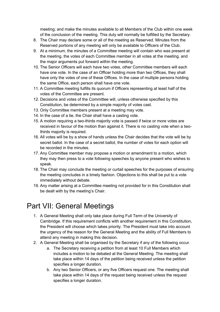meeting; and make the minutes available to all Members of the Club within one week of the conclusion of the meeting. This duty will normally be fulfilled by the Secretary.

- 8. The Chair may declare some or all of the meeting as Reserved. Minutes from the Reserved portions of any meeting will only be available to Officers of the Club.
- 9. At a minimum, the minutes of a Committee meeting will contain who was present at the meeting, the votes of each Committee member in all votes at the meeting, and the major arguments put forward within the meeting.
- 10. The Senior Officers will each have two votes, other Committee members will each have one vote. In the case of an Officer holding more than two Offices, they shall have only the votes of one of these Offices. In the case of multiple persons holding the same Office, each person shall have one vote.
- 11. A Committee meeting fulfills its quorum if Officers representing at least half of the votes of the Committee are present.
- 12. Decisions and votes of the Committee will, unless otherwise specified by this Constitution, be determined by a simple majority of votes cast.
- 13. Only Committee members present at a meeting may vote.
- 14. In the case of a tie, the Chair shall have a casting vote.
- 15. A motion requiring a two-thirds majority vote is passed if twice or more votes are received in favour of the motion than against it. There is no casting vote when a twothirds majority is required.
- 16. All votes will be by a show of hands unless the Chair decides that the vote will be by secret ballot. In the case of a secret ballot, the number of votes for each option will be recorded in the minutes.
- 17. Any Committee member may propose a motion or amendment to a motion, which they may then press to a vote following speeches by anyone present who wishes to speak.
- 18. The Chair may conclude the meeting or curtail speeches for the purposes of ensuring the meeting concludes in a timely fashion. Objections to this shall be put to a vote immediately without debate.
- 19. Any matter arising at a Committee meeting not provided for in this Constitution shall be dealt with by the meeting's Chair.

#### Part VII: General Meetings

- 1. A General Meeting shall only take place during Full Term of the University of Cambridge. If this requirement conflicts with another requirement in this Constitution, the President will choose which takes priority. The President must take into account the urgency of the reason for the General Meeting and the ability of Full Members to attend any meeting in making this decision.
- 2. A General Meeting shall be organised by the Secretary if any of the following occur.
	- a. The Secretary receiving a petition from at least 10 Full Members which includes a motion to be debated at the General Meeting. The meeting shall take place within 14 days of the petition being received unless the petition specifies a longer duration.
	- b. Any two Senior Officers, or any five Officers request one. The meeting shall take place within 14 days of the request being received unless the request specifies a longer duration.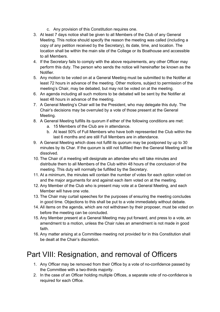- c. Any provision of this Constitution requires one.
- 3. At least 7 days notice shall be given to all Members of the Club of any General Meeting. This notice should specify the reason the meeting was called (including a copy of any petition received by the Secretary), its date, time, and location. The location shall be within the main site of the College or its Boathouse and accessible to all Members.
- 4. If the Secretary fails to comply with the above requirements, any other Officer may perform this duty. The person who sends the notice will hereinafter be known as the Notifier.
- 5. Any motion to be voted on at a General Meeting must be submitted to the Notifier at least 72 hours in advance of the meeting. Other motions, subject to permission of the meeting's Chair, may be debated, but may not be voted on at the meeting.
- 6. An agenda including all such motions to be debated will be sent by the Notifier at least 48 hours in advance of the meeting.
- 7. A General Meeting's Chair will be the President, who may delegate this duty. The Chair's decisions may be overruled by a vote of those present at the General Meeting.
- 8. A General Meeting fulfills its quorum if either of the following conditions are met:
	- a. 15 Members of the Club are in attendance.
	- b. At least 50% of Full Members who have both represented the Club within the last 6 months and are still Full Members are in attendance.
- 9. A General Meeting which does not fulfill its quorum may be postponed by up to 30 minutes by its Char. If the quorum is still not fulfilled then the General Meeting will be dissolved.
- 10. The Chair of a meeting will designate an attendee who will take minutes and distribute them to all Members of the Club within 48 hours of the conclusion of the meeting. This duty will normally be fulfilled by the Secretary.
- 11. At a minimum, the minutes will contain the number of votes for each option voted on and the major arguments for and against each item voted on at the meeting.
- 12. Any Member of the Club who is present may vote at a General Meeting, and each Member will have one vote.
- 13. The Chair may curtail speeches for the purposes of ensuring the meeting concludes in good time. Objections to this shall be put to a vote immediately without debate.
- 14. All items on the agenda, which are not withdrawn by their proposer, must be voted on before the meeting can be concluded.
- 15. Any Member present at a General Meeting may put forward, and press to a vote, an amendment to a motion, unless the Chair rules an amendment is not made in good faith.
- 16. Any matter arising at a Committee meeting not provided for in this Constitution shall be dealt at the Chair's discretion.

# Part VIII: Resignation, and removal of Officers

- 1. Any Officer may be removed from their Office by a vote of no-confidence passed by the Committee with a two-thirds majority.
- 2. In the case of an Officer holding multiple Offices, a separate vote of no-confidence is required for each Office.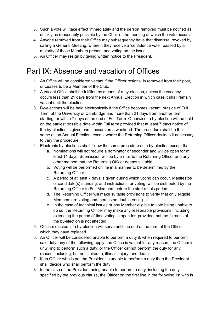- 3. Such a vote will take effect immediately and the person removed must be notified as quickly as reasonably possible by the Chair of the meeting at which the vote occurs
- 4. Anyone removed from their Office may subsequently have that dismissal revoked by calling a General Meeting, wherein they receive a 'confidence vote', passed by a majority of those Members present and voting on the issue.
- 5. An Officer may resign by giving written notice to the President.

### Part IX: Absence and vacation of Offices

- 1. An Office will be considered vacant if the Officer resigns, is removed from their post, or ceases to be a Member of the Club.
- 2. A vacant Office shall be fulfilled by means of a by-election, unless the vacancy occurs less than 21 days from the next Annual Election in which case it shall remain vacant until the election.
- 3. By-elections will be held electronically if the Office becomes vacant: outside of Full Term of the University of Cambridge and more than 21 days from another term starting; or within 7 days of the end of Full Term. Otherwise, a by-election will be held on the earliest possible date within Full term provided that at least 7 days notice of the by-election is given and it occurs on a weekend. The procedure shall be the same as an Annual Election, except where the Returning Officer decides it necessary to vary the procedure.
- 4. Electronic by-elections shall follow the same procedure as a by-election except that:
	- a. Nominations will not require a nominator or seconder and will be open for at least 14 days. Submission will be by e-mail to the Returning Officer and any other method that the Returning Officer deems suitable.
	- b. Voting will be performed online in a manner to be determined by the Returning Officer.
	- c. A period of at least 7 days is given during which voting can occur. Manifestos of candidate(s) standing, and instructions for voting, will be distributed by the Returning Officer to Full Members before the start of this period.
	- d. The Returning Officer will make suitable provisions to verify that only eligible Members are voting and there is no double-voting.
	- e. In the case of technical issues or any Member eligible to vote being unable to do so, the Returning Officer may make any reasonable provisions, including extending the period of time voting is open for, provided that the fairness of the by-election is not affected.
- 5. Officers elected in a by-election will serve until the end of the term of the Officer which they have replaced.
- 6. An Officer will be considered unable to perform a duty if, when required to perform said duty, any of the following apply: the Office is vacant for any reason; the Officer is unwilling to perform such a duty; or the Officer cannot perform the duty for any reason, including, but not limited to, illness, injury, and death.
- 7. If an Officer who is not the President is unable to perform a duty then the President shall decide who shall perform the duty.
- 8. In the case of the President being unable to perform a duty, including the duty specified by the previous clause, the Officer on the first line in the following list who is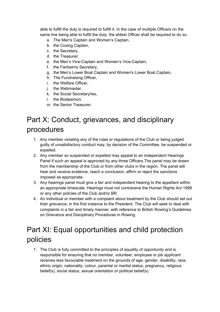able to fulfill the duty is required to fulfill it. In the case of multiple Officers on the same line being able to fulfill the duty, the eldest Officer shall be required to do so.

- a. The Men's Captain and Women's Captain,
- b. the Coxing Captain,
- c. the Secretary,
- d. the Treasurer,
- e. the Men's Vice-Captain and Women's Vice-Captain,
- f. the Fairbairns Secretary,
- g. the Men's Lower Boat Captain and Women's Lower Boat Captain,
- h. The Fundraising Officer,
- i. the Welfare Officer,
- j. the Webmaster,
- k. the Social Secretary/ies,
- l. the Boatperson,
- m. the Senior Treasurer.

# Part X: Conduct, grievances, and disciplinary procedures

- 1. Any member violating any of the rules or regulations of the Club or being judged guilty of unsatisfactory conduct may, by decision of the Committee, be suspended or expelled.
- 2. Any member so suspended or expelled may appeal to an independent Hearings Panel if such an appeal is approved by any three Officers.The panel may be drawn from the membership of the Club or from other clubs in the region. The panel will hear and receive evidence, reach a conclusion, affirm or reject the sanctions imposed as appropriate.
- 3. Any hearings panel must give a fair and independent hearing to the appellant within an appropriate timescale. Hearings must not contravene the Human Rights Act 1998 or any other policies of the Club and/or BR.
- 4. An individual or member with a complaint about treatment by the Club should set out their grievance, in the first instance to the President. The Club will seek to deal with complaints in a fair and timely manner, with reference to British Rowing's Guidelines on Grievance and Disciplinary Procedures in Rowing.

# Part XI: Equal opportunities and child protection policies

1. The Club is fully committed to the principles of equality of opportunity and is responsible for ensuring that no member, volunteer, employee or job applicant receives less favourable treatment on the grounds of age, gender, disability, race, ethnic origin, nationality, colour, parental or marital status, pregnancy, religious belief(s), social status, sexual orientation or political belief(s).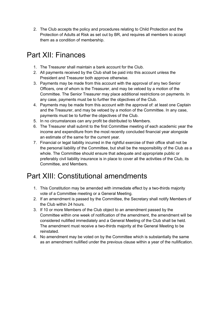2. The Club accepts the policy and procedures relating to Child Protection and the Protection of Adults at Risk as set out by BR, and requires all members to accept them as a condition of membership.

# Part XII: Finances

- 1. The Treasurer shall maintain a bank account for the Club.
- 2. All payments received by the Club shall be paid into this account unless the President and Treasurer both approve otherwise.
- 3. Payments may be made from this account with the approval of any two Senior Officers, one of whom is the Treasurer, and may be vetoed by a motion of the Committee. The Senior Treasurer may place additional restrictions on payments. In any case, payments must be to further the objectives of the Club.
- 4. Payments may be made from this account with the approval of: at least one Captain and the Treasurer, and may be vetoed by a motion of the Committee. In any case, payments must be to further the objectives of the Club.
- 5. In no circumstances can any profit be distributed to Members.
- 6. The Treasurer shall submit to the first Committee meeting of each academic year the income and expenditure from the most recently concluded financial year alongside an estimate of the same for the current year.
- 7. Financial or legal liability incurred in the rightful exercise of their office shall not be the personal liability of the Committee, but shall be the responsibility of the Club as a whole. The Committee should ensure that adequate and appropriate public or preferably civil liability insurance is in place to cover all the activities of the Club, its Committee, and Members.

# Part XIII: Constitutional amendments

- 1. This Constitution may be amended with immediate effect by a two-thirds majority vote of a Committee meeting or a General Meeting.
- 2. If an amendment is passed by the Committee, the Secretary shall notify Members of the Club within 24 hours.
- 3. If 10 or more Members of the Club object to an amendment passed by the Committee within one week of notification of the amendment, the amendment will be considered nullified immediately and a General Meeting of the Club shall be held. The amendment must receive a two-thirds majority at the General Meeting to be reinstated.
- 4. No amendment may be voted on by the Committee which is substantially the same as an amendment nullified under the previous clause within a year of the nullification.